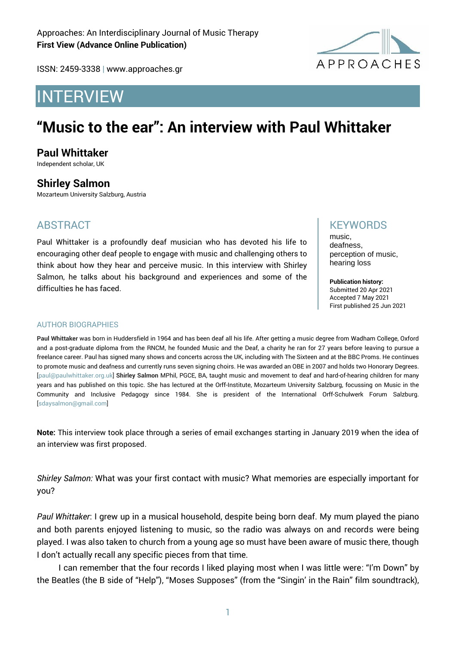

ISSN: 2459-3338 | www.approaches.gr

# INTERVIEW

# **"Music to the ear": An interview with Paul Whittaker**

## **Paul Whittaker**

Independent scholar, UK

## **Shirley Salmon**

Mozarteum University Salzburg, Austria

## ABSTRACT

Paul Whittaker is a profoundly deaf musician who has devoted his life to encouraging other deaf people to engage with music and challenging others to think about how they hear and perceive music. In this interview with Shirley Salmon, he talks about his background and experiences and some of the difficulties he has faced.

## **KFYWORDS**

music, deafness, perception of music, hearing loss

**Publication history:**  Submitted 20 Apr 2021 Accepted 7 May 2021 First published 25 Jun 2021

#### AUTHOR BIOGRAPHIES

**Paul Whittaker** was born in Huddersfield in 1964 and has been deaf all his life. After getting a music degree from Wadham College, Oxford and a post-graduate diploma from the RNCM, he founded Music and the Deaf, a charity he ran for 27 years before leaving to pursue a freelance career. Paul has signed many shows and concerts across the UK, including with The Sixteen and at the BBC Proms. He continues to promote music and deafness and currently runs seven signing choirs. He was awarded an OBE in 2007 and holds two Honorary Degrees. [paul@paulwhittaker.org.uk] **Shirley Salmon** MPhil, PGCE, BA, taught music and movement to deaf and hard-of-hearing children for many years and has published on this topic. She has lectured at the Orff-Institute, Mozarteum University Salzburg, focussing on Music in the Community and Inclusive Pedagogy since 1984. She is president of the International Orff-Schulwerk Forum Salzburg. [sdaysalmon@gmail.com]

**Note:** This interview took place through a series of email exchanges starting in January 2019 when the idea of an interview was first proposed.

*Shirley Salmon:* What was your first contact with music? What memories are especially important for you?

*Paul Whittaker*: I grew up in a musical household, despite being born deaf. My mum played the piano and both parents enjoyed listening to music, so the radio was always on and records were being played. I was also taken to church from a young age so must have been aware of music there, though I don't actually recall any specific pieces from that time.

I can remember that the four records I liked playing most when I was little were: "I'm Down" by the Beatles (the B side of "Help"), "Moses Supposes" (from the "Singin' in the Rain" film soundtrack),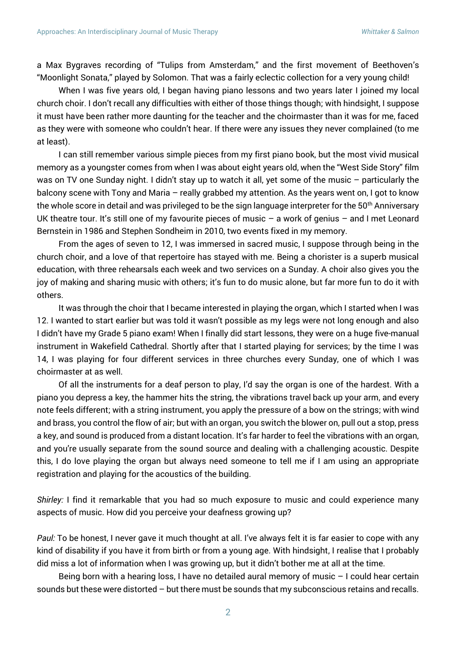a Max Bygraves recording of "Tulips from Amsterdam," and the first movement of Beethoven's "Moonlight Sonata," played by Solomon. That was a fairly eclectic collection for a very young child!

When I was five years old, I began having piano lessons and two years later I joined my local church choir. I don't recall any difficulties with either of those things though; with hindsight, I suppose it must have been rather more daunting for the teacher and the choirmaster than it was for me, faced as they were with someone who couldn't hear. If there were any issues they never complained (to me at least).

I can still remember various simple pieces from my first piano book, but the most vivid musical memory as a youngster comes from when I was about eight years old, when the "West Side Story" film was on TV one Sunday night. I didn't stay up to watch it all, yet some of the music – particularly the balcony scene with Tony and Maria – really grabbed my attention. As the years went on, I got to know the whole score in detail and was privileged to be the sign language interpreter for the 50<sup>th</sup> Anniversary UK theatre tour. It's still one of my favourite pieces of music – a work of genius – and I met Leonard Bernstein in 1986 and Stephen Sondheim in 2010, two events fixed in my memory.

From the ages of seven to 12, I was immersed in sacred music, I suppose through being in the church choir, and a love of that repertoire has stayed with me. Being a chorister is a superb musical education, with three rehearsals each week and two services on a Sunday. A choir also gives you the joy of making and sharing music with others; it's fun to do music alone, but far more fun to do it with others.

It was through the choir that I became interested in playing the organ, which I started when I was 12. I wanted to start earlier but was told it wasn't possible as my legs were not long enough and also I didn't have my Grade 5 piano exam! When I finally did start lessons, they were on a huge five-manual instrument in Wakefield Cathedral. Shortly after that I started playing for services; by the time I was 14, I was playing for four different services in three churches every Sunday, one of which I was choirmaster at as well.

Of all the instruments for a deaf person to play, I'd say the organ is one of the hardest. With a piano you depress a key, the hammer hits the string, the vibrations travel back up your arm, and every note feels different; with a string instrument, you apply the pressure of a bow on the strings; with wind and brass, you control the flow of air; but with an organ, you switch the blower on, pull out a stop, press a key, and sound is produced from a distant location. It's far harder to feel the vibrations with an organ, and you're usually separate from the sound source and dealing with a challenging acoustic. Despite this, I do love playing the organ but always need someone to tell me if I am using an appropriate registration and playing for the acoustics of the building.

*Shirley:* I find it remarkable that you had so much exposure to music and could experience many aspects of music. How did you perceive your deafness growing up?

*Paul:* To be honest, I never gave it much thought at all. I've always felt it is far easier to cope with any kind of disability if you have it from birth or from a young age. With hindsight, I realise that I probably did miss a lot of information when I was growing up, but it didn't bother me at all at the time.

Being born with a hearing loss, I have no detailed aural memory of music  $-1$  could hear certain sounds but these were distorted – but there must be sounds that my subconscious retains and recalls.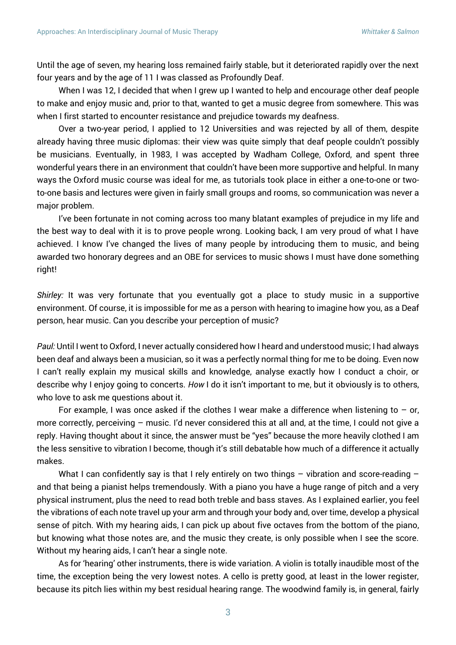Until the age of seven, my hearing loss remained fairly stable, but it deteriorated rapidly over the next four years and by the age of 11 I was classed as Profoundly Deaf.

When I was 12, I decided that when I grew up I wanted to help and encourage other deaf people to make and enjoy music and, prior to that, wanted to get a music degree from somewhere. This was when I first started to encounter resistance and prejudice towards my deafness.

Over a two-year period, I applied to 12 Universities and was rejected by all of them, despite already having three music diplomas: their view was quite simply that deaf people couldn't possibly be musicians. Eventually, in 1983, I was accepted by Wadham College, Oxford, and spent three wonderful years there in an environment that couldn't have been more supportive and helpful. In many ways the Oxford music course was ideal for me, as tutorials took place in either a one-to-one or twoto-one basis and lectures were given in fairly small groups and rooms, so communication was never a major problem.

I've been fortunate in not coming across too many blatant examples of prejudice in my life and the best way to deal with it is to prove people wrong. Looking back, I am very proud of what I have achieved. I know I've changed the lives of many people by introducing them to music, and being awarded two honorary degrees and an OBE for services to music shows I must have done something right!

*Shirley:* It was very fortunate that you eventually got a place to study music in a supportive environment. Of course, it is impossible for me as a person with hearing to imagine how you, as a Deaf person, hear music. Can you describe your perception of music?

*Paul:* Until I went to Oxford, I never actually considered how I heard and understood music; I had always been deaf and always been a musician, so it was a perfectly normal thing for me to be doing. Even now I can't really explain my musical skills and knowledge, analyse exactly how I conduct a choir, or describe why I enjoy going to concerts. *How* I do it isn't important to me, but it obviously is to others, who love to ask me questions about it.

For example, I was once asked if the clothes I wear make a difference when listening to  $-$  or, more correctly, perceiving – music. I'd never considered this at all and, at the time, I could not give a reply. Having thought about it since, the answer must be "yes" because the more heavily clothed I am the less sensitive to vibration I become, though it's still debatable how much of a difference it actually makes.

What I can confidently say is that I rely entirely on two things  $-$  vibration and score-reading  $$ and that being a pianist helps tremendously. With a piano you have a huge range of pitch and a very physical instrument, plus the need to read both treble and bass staves. As I explained earlier, you feel the vibrations of each note travel up your arm and through your body and, over time, develop a physical sense of pitch. With my hearing aids, I can pick up about five octaves from the bottom of the piano, but knowing what those notes are, and the music they create, is only possible when I see the score. Without my hearing aids, I can't hear a single note.

As for 'hearing' other instruments, there is wide variation. A violin is totally inaudible most of the time, the exception being the very lowest notes. A cello is pretty good, at least in the lower register, because its pitch lies within my best residual hearing range. The woodwind family is, in general, fairly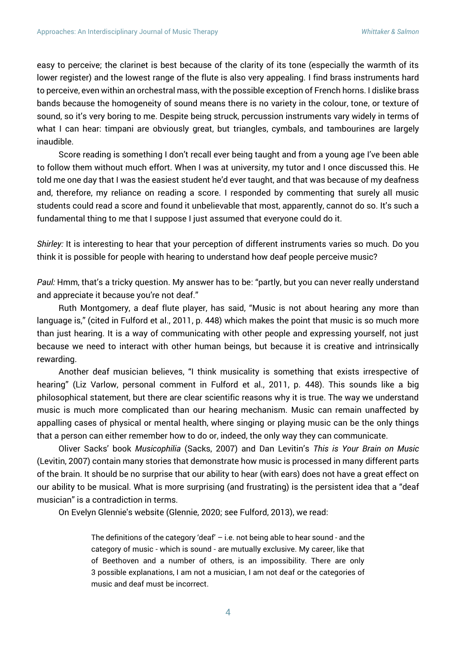easy to perceive; the clarinet is best because of the clarity of its tone (especially the warmth of its lower register) and the lowest range of the flute is also very appealing. I find brass instruments hard to perceive, even within an orchestral mass, with the possible exception of French horns. I dislike brass bands because the homogeneity of sound means there is no variety in the colour, tone, or texture of sound, so it's very boring to me. Despite being struck, percussion instruments vary widely in terms of what I can hear: timpani are obviously great, but triangles, cymbals, and tambourines are largely inaudible.

Score reading is something I don't recall ever being taught and from a young age I've been able to follow them without much effort. When I was at university, my tutor and I once discussed this. He told me one day that I was the easiest student he'd ever taught, and that was because of my deafness and, therefore, my reliance on reading a score. I responded by commenting that surely all music students could read a score and found it unbelievable that most, apparently, cannot do so. It's such a fundamental thing to me that I suppose I just assumed that everyone could do it.

*Shirley:* It is interesting to hear that your perception of different instruments varies so much. Do you think it is possible for people with hearing to understand how deaf people perceive music?

*Paul:* Hmm, that's a tricky question. My answer has to be: "partly, but you can never really understand and appreciate it because you're not deaf."

Ruth Montgomery, a deaf flute player, has said, "Music is not about hearing any more than language is," (cited in Fulford et al., 2011, p. 448) which makes the point that music is so much more than just hearing. It is a way of communicating with other people and expressing yourself, not just because we need to interact with other human beings, but because it is creative and intrinsically rewarding.

Another deaf musician believes, "I think musicality is something that exists irrespective of hearing" (Liz Varlow, personal comment in Fulford et al., 2011, p. 448). This sounds like a big philosophical statement, but there are clear scientific reasons why it is true. The way we understand music is much more complicated than our hearing mechanism. Music can remain unaffected by appalling cases of physical or mental health, where singing or playing music can be the only things that a person can either remember how to do or, indeed, the only way they can communicate.

Oliver Sacks' book *Musicophilia* (Sacks, 2007) and Dan Levitin's *This is Your Brain on Music* (Levitin, 2007) contain many stories that demonstrate how music is processed in many different parts of the brain. It should be no surprise that our ability to hear (with ears) does not have a great effect on our ability to be musical. What is more surprising (and frustrating) is the persistent idea that a "deaf musician" is a contradiction in terms.

On Evelyn Glennie's website (Glennie, 2020; see Fulford, 2013), we read:

The definitions of the category 'deaf'  $-$  i.e. not being able to hear sound - and the category of music - which is sound - are mutually exclusive. My career, like that of Beethoven and a number of others, is an impossibility. There are only 3 possible explanations, I am not a musician, I am not deaf or the categories of music and deaf must be incorrect.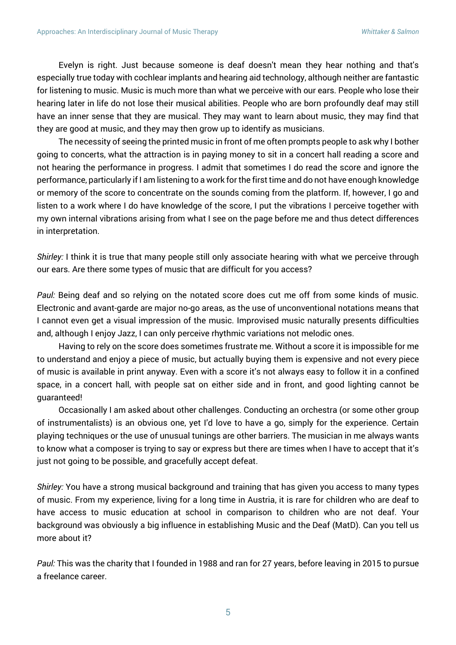Evelyn is right. Just because someone is deaf doesn't mean they hear nothing and that's especially true today with cochlear implants and hearing aid technology, although neither are fantastic for listening to music. Music is much more than what we perceive with our ears. People who lose their hearing later in life do not lose their musical abilities. People who are born profoundly deaf may still have an inner sense that they are musical. They may want to learn about music, they may find that they are good at music, and they may then grow up to identify as musicians.

The necessity of seeing the printed music in front of me often prompts people to ask why I bother going to concerts, what the attraction is in paying money to sit in a concert hall reading a score and not hearing the performance in progress. I admit that sometimes I do read the score and ignore the performance, particularly if I am listening to a work for the first time and do not have enough knowledge or memory of the score to concentrate on the sounds coming from the platform. If, however, I go and listen to a work where I do have knowledge of the score, I put the vibrations I perceive together with my own internal vibrations arising from what I see on the page before me and thus detect differences in interpretation.

*Shirley:* I think it is true that many people still only associate hearing with what we perceive through our ears. Are there some types of music that are difficult for you access?

*Paul:* Being deaf and so relying on the notated score does cut me off from some kinds of music. Electronic and avant-garde are major no-go areas, as the use of unconventional notations means that I cannot even get a visual impression of the music. Improvised music naturally presents difficulties and, although I enjoy Jazz, I can only perceive rhythmic variations not melodic ones.

Having to rely on the score does sometimes frustrate me. Without a score it is impossible for me to understand and enjoy a piece of music, but actually buying them is expensive and not every piece of music is available in print anyway. Even with a score it's not always easy to follow it in a confined space, in a concert hall, with people sat on either side and in front, and good lighting cannot be guaranteed!

Occasionally I am asked about other challenges. Conducting an orchestra (or some other group of instrumentalists) is an obvious one, yet I'd love to have a go, simply for the experience. Certain playing techniques or the use of unusual tunings are other barriers. The musician in me always wants to know what a composer is trying to say or express but there are times when I have to accept that it's just not going to be possible, and gracefully accept defeat.

*Shirley:* You have a strong musical background and training that has given you access to many types of music. From my experience, living for a long time in Austria, it is rare for children who are deaf to have access to music education at school in comparison to children who are not deaf. Your background was obviously a big influence in establishing Music and the Deaf (MatD). Can you tell us more about it?

*Paul:* This was the charity that I founded in 1988 and ran for 27 years, before leaving in 2015 to pursue a freelance career.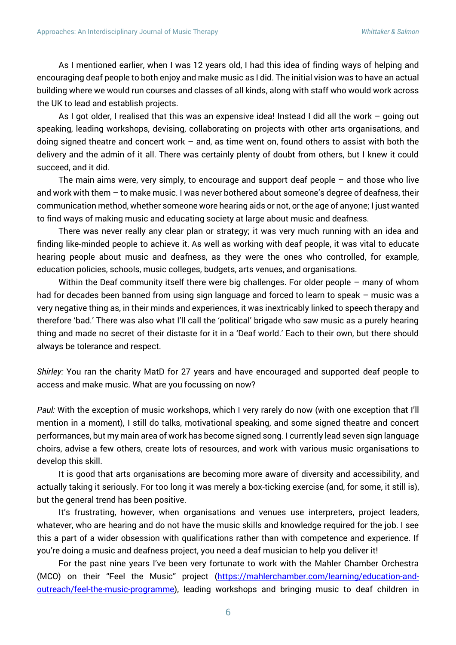As I mentioned earlier, when I was 12 years old, I had this idea of finding ways of helping and encouraging deaf people to both enjoy and make music as I did. The initial vision was to have an actual building where we would run courses and classes of all kinds, along with staff who would work across the UK to lead and establish projects.

As I got older, I realised that this was an expensive idea! Instead I did all the work – going out speaking, leading workshops, devising, collaborating on projects with other arts organisations, and doing signed theatre and concert work – and, as time went on, found others to assist with both the delivery and the admin of it all. There was certainly plenty of doubt from others, but I knew it could succeed, and it did.

The main aims were, very simply, to encourage and support deaf people – and those who live and work with them – to make music. I was never bothered about someone's degree of deafness, their communication method, whether someone wore hearing aids or not, or the age of anyone; I just wanted to find ways of making music and educating society at large about music and deafness.

There was never really any clear plan or strategy; it was very much running with an idea and finding like-minded people to achieve it. As well as working with deaf people, it was vital to educate hearing people about music and deafness, as they were the ones who controlled, for example, education policies, schools, music colleges, budgets, arts venues, and organisations.

Within the Deaf community itself there were big challenges. For older people – many of whom had for decades been banned from using sign language and forced to learn to speak – music was a very negative thing as, in their minds and experiences, it was inextricably linked to speech therapy and therefore 'bad.' There was also what I'll call the 'political' brigade who saw music as a purely hearing thing and made no secret of their distaste for it in a 'Deaf world.' Each to their own, but there should always be tolerance and respect.

*Shirley:* You ran the charity MatD for 27 years and have encouraged and supported deaf people to access and make music. What are you focussing on now?

*Paul:* With the exception of music workshops, which I very rarely do now (with one exception that I'll mention in a moment), I still do talks, motivational speaking, and some signed theatre and concert performances, but my main area of work has become signed song. I currently lead seven sign language choirs, advise a few others, create lots of resources, and work with various music organisations to develop this skill.

It is good that arts organisations are becoming more aware of diversity and accessibility, and actually taking it seriously. For too long it was merely a box-ticking exercise (and, for some, it still is), but the general trend has been positive.

It's frustrating, however, when organisations and venues use interpreters, project leaders, whatever, who are hearing and do not have the music skills and knowledge required for the job. I see this a part of a wider obsession with qualifications rather than with competence and experience. If you're doing a music and deafness project, you need a deaf musician to help you deliver it!

For the past nine years I've been very fortunate to work with the Mahler Chamber Orchestra (MCO) on their "Feel the Music" project [\(https://mahlerchamber.com/learning/education-and](https://mahlerchamber.com/learning/education-and-outreach/feel-the-music-programme)[outreach/feel-the-music-programme\)](https://mahlerchamber.com/learning/education-and-outreach/feel-the-music-programme), leading workshops and bringing music to deaf children in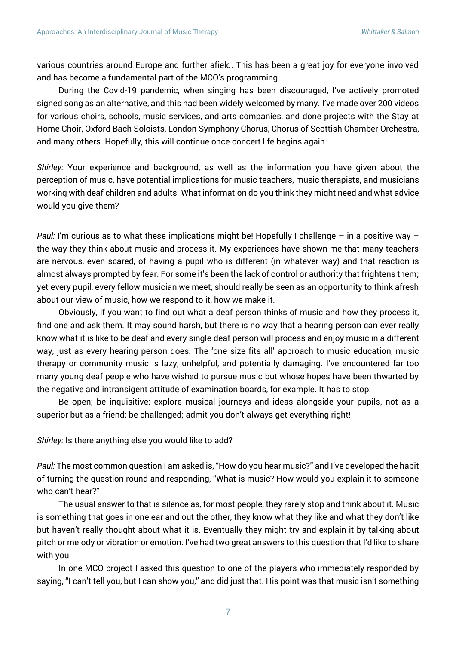various countries around Europe and further afield. This has been a great joy for everyone involved and has become a fundamental part of the MCO's programming.

During the Covid-19 pandemic, when singing has been discouraged, I've actively promoted signed song as an alternative, and this had been widely welcomed by many. I've made over 200 videos for various choirs, schools, music services, and arts companies, and done projects with the Stay at Home Choir, Oxford Bach Soloists, London Symphony Chorus, Chorus of Scottish Chamber Orchestra, and many others. Hopefully, this will continue once concert life begins again.

*Shirley:* Your experience and background, as well as the information you have given about the perception of music, have potential implications for music teachers, music therapists, and musicians working with deaf children and adults. What information do you think they might need and what advice would you give them?

*Paul:* I'm curious as to what these implications might be! Hopefully I challenge – in a positive way – the way they think about music and process it. My experiences have shown me that many teachers are nervous, even scared, of having a pupil who is different (in whatever way) and that reaction is almost always prompted by fear. For some it's been the lack of control or authority that frightens them; yet every pupil, every fellow musician we meet, should really be seen as an opportunity to think afresh about our view of music, how we respond to it, how we make it.

Obviously, if you want to find out what a deaf person thinks of music and how they process it, find one and ask them. It may sound harsh, but there is no way that a hearing person can ever really know what it is like to be deaf and every single deaf person will process and enjoy music in a different way, just as every hearing person does. The 'one size fits all' approach to music education, music therapy or community music is lazy, unhelpful, and potentially damaging. I've encountered far too many young deaf people who have wished to pursue music but whose hopes have been thwarted by the negative and intransigent attitude of examination boards, for example. It has to stop.

Be open; be inquisitive; explore musical journeys and ideas alongside your pupils, not as a superior but as a friend; be challenged; admit you don't always get everything right!

*Shirley:* Is there anything else you would like to add?

*Paul:* The most common question I am asked is, "How do you hear music?" and I've developed the habit of turning the question round and responding, "What is music? How would you explain it to someone who can't hear?"

The usual answer to that is silence as, for most people, they rarely stop and think about it. Music is something that goes in one ear and out the other, they know what they like and what they don't like but haven't really thought about what it is. Eventually they might try and explain it by talking about pitch or melody or vibration or emotion. I've had two great answers to this question that I'd like to share with you.

In one MCO project I asked this question to one of the players who immediately responded by saying, "I can't tell you, but I can show you," and did just that. His point was that music isn't something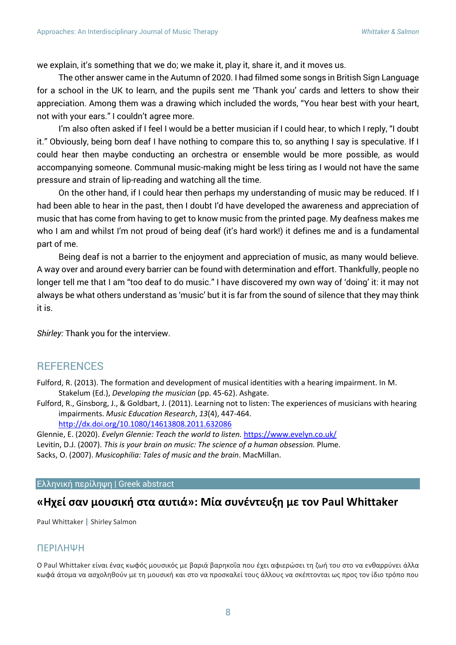we explain, it's something that we do; we make it, play it, share it, and it moves us.

The other answer came in the Autumn of 2020. I had filmed some songs in British Sign Language for a school in the UK to learn, and the pupils sent me 'Thank you' cards and letters to show their appreciation. Among them was a drawing which included the words, "You hear best with your heart, not with your ears." I couldn't agree more.

I'm also often asked if I feel I would be a better musician if I could hear, to which I reply, "I doubt it." Obviously, being born deaf I have nothing to compare this to, so anything I say is speculative. If I could hear then maybe conducting an orchestra or ensemble would be more possible, as would accompanying someone. Communal music-making might be less tiring as I would not have the same pressure and strain of lip-reading and watching all the time.

On the other hand, if I could hear then perhaps my understanding of music may be reduced. If I had been able to hear in the past, then I doubt I'd have developed the awareness and appreciation of music that has come from having to get to know music from the printed page. My deafness makes me who I am and whilst I'm not proud of being deaf (it's hard work!) it defines me and is a fundamental part of me.

Being deaf is not a barrier to the enjoyment and appreciation of music, as many would believe. A way over and around every barrier can be found with determination and effort. Thankfully, people no longer tell me that I am "too deaf to do music." I have discovered my own way of 'doing' it: it may not always be what others understand as 'music' but it is far from the sound of silence that they may think it is.

*Shirley:* Thank you for the interview.

### **REFERENCES**

Fulford, R. (2013). The formation and development of musical identities with a hearing impairment. In M. Stakelum (Ed.), *Developing the musician* (pp. 45-62). Ashgate.

Fulford, R., Ginsborg, J., & Goldbart, J. (2011). Learning not to listen: The experiences of musicians with hearing impairments. *Music Education Research*, *13*(4), 447-464. <http://dx.doi.org/10.1080/14613808.2011.632086>

Glennie, E. (2020). *Evelyn Glennie: Teach the world to listen.* <https://www.evelyn.co.uk/> Levitin, D.J. (2007). *This is your brain on music: The science of a human obsession.* Plume.

Sacks, O. (2007). *Musicophilia: Tales of music and the brain*. MacMillan.

Ελληνική περίληψη | Greek abstract

## **«Ηχεί σαν μουσική στα αυτιά»: Μία συνέντευξη με τον Paul Whittaker**

Paul Whittaker **|** Shirley Salmon

#### ΠΕΡΙΛΗΨΗ

Ο Paul Whittaker είναι ένας κωφός μουσικός με βαριά βαρηκοΐα που έχει αφιερώσει τη ζωή του στο να ενθαρρύνει άλλα κωφά άτομα να ασχοληθούν με τη μουσική και στο να προσκαλεί τους άλλους να σκέπτονται ως προς τον ίδιο τρόπο που